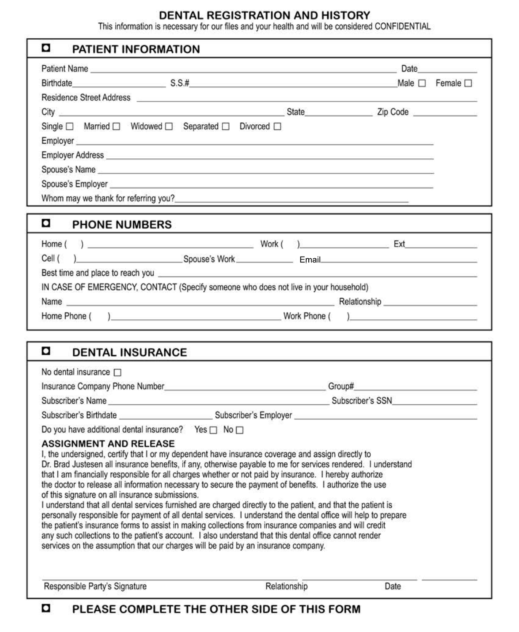DENTAL REGISTRATION AND HISTORY<br>This information is necessary for our files and your health and will be considered CONFIDENTIAL

| o<br>PATIENT INFORMATION                                                                                                                                                                                                                                                                                                                                                                                                                                                                                                                                                                                                                                                                                                                                                                                                                                                                                                                                                                                                                                              |      |  |  |
|-----------------------------------------------------------------------------------------------------------------------------------------------------------------------------------------------------------------------------------------------------------------------------------------------------------------------------------------------------------------------------------------------------------------------------------------------------------------------------------------------------------------------------------------------------------------------------------------------------------------------------------------------------------------------------------------------------------------------------------------------------------------------------------------------------------------------------------------------------------------------------------------------------------------------------------------------------------------------------------------------------------------------------------------------------------------------|------|--|--|
| Patient Name <b>Date Discrete Account Contract Contract Contract Contract Contract Contract Contract Contract Contract Contract Contract Contract Contract Contract Contract Contract Contract Contract Contract Contract Cont</b>                                                                                                                                                                                                                                                                                                                                                                                                                                                                                                                                                                                                                                                                                                                                                                                                                                    |      |  |  |
| Birthdate Male D Female D Female D                                                                                                                                                                                                                                                                                                                                                                                                                                                                                                                                                                                                                                                                                                                                                                                                                                                                                                                                                                                                                                    |      |  |  |
|                                                                                                                                                                                                                                                                                                                                                                                                                                                                                                                                                                                                                                                                                                                                                                                                                                                                                                                                                                                                                                                                       |      |  |  |
|                                                                                                                                                                                                                                                                                                                                                                                                                                                                                                                                                                                                                                                                                                                                                                                                                                                                                                                                                                                                                                                                       |      |  |  |
| Single □ Married □ Widowed □ Separated □ Divorced □                                                                                                                                                                                                                                                                                                                                                                                                                                                                                                                                                                                                                                                                                                                                                                                                                                                                                                                                                                                                                   |      |  |  |
|                                                                                                                                                                                                                                                                                                                                                                                                                                                                                                                                                                                                                                                                                                                                                                                                                                                                                                                                                                                                                                                                       |      |  |  |
|                                                                                                                                                                                                                                                                                                                                                                                                                                                                                                                                                                                                                                                                                                                                                                                                                                                                                                                                                                                                                                                                       |      |  |  |
| Spouse's Name                                                                                                                                                                                                                                                                                                                                                                                                                                                                                                                                                                                                                                                                                                                                                                                                                                                                                                                                                                                                                                                         |      |  |  |
| Spouse's Employer entertainment and the contract of the contract of the contract of the contract of the contract of the contract of the contract of the contract of the contract of the contract of the contract of the contra                                                                                                                                                                                                                                                                                                                                                                                                                                                                                                                                                                                                                                                                                                                                                                                                                                        |      |  |  |
| Whom may we thank for referring you?                                                                                                                                                                                                                                                                                                                                                                                                                                                                                                                                                                                                                                                                                                                                                                                                                                                                                                                                                                                                                                  |      |  |  |
|                                                                                                                                                                                                                                                                                                                                                                                                                                                                                                                                                                                                                                                                                                                                                                                                                                                                                                                                                                                                                                                                       |      |  |  |
| o<br><b>PHONE NUMBERS</b>                                                                                                                                                                                                                                                                                                                                                                                                                                                                                                                                                                                                                                                                                                                                                                                                                                                                                                                                                                                                                                             |      |  |  |
|                                                                                                                                                                                                                                                                                                                                                                                                                                                                                                                                                                                                                                                                                                                                                                                                                                                                                                                                                                                                                                                                       |      |  |  |
|                                                                                                                                                                                                                                                                                                                                                                                                                                                                                                                                                                                                                                                                                                                                                                                                                                                                                                                                                                                                                                                                       |      |  |  |
| Best time and place to reach you entertainment and the state of the state of the state of the state of the state of the state of the state of the state of the state of the state of the state of the state of the state of th                                                                                                                                                                                                                                                                                                                                                                                                                                                                                                                                                                                                                                                                                                                                                                                                                                        |      |  |  |
| IN CASE OF EMERGENCY, CONTACT (Specify someone who does not live in your household)                                                                                                                                                                                                                                                                                                                                                                                                                                                                                                                                                                                                                                                                                                                                                                                                                                                                                                                                                                                   |      |  |  |
|                                                                                                                                                                                                                                                                                                                                                                                                                                                                                                                                                                                                                                                                                                                                                                                                                                                                                                                                                                                                                                                                       |      |  |  |
|                                                                                                                                                                                                                                                                                                                                                                                                                                                                                                                                                                                                                                                                                                                                                                                                                                                                                                                                                                                                                                                                       |      |  |  |
|                                                                                                                                                                                                                                                                                                                                                                                                                                                                                                                                                                                                                                                                                                                                                                                                                                                                                                                                                                                                                                                                       |      |  |  |
| o<br><b>DENTAL INSURANCE</b>                                                                                                                                                                                                                                                                                                                                                                                                                                                                                                                                                                                                                                                                                                                                                                                                                                                                                                                                                                                                                                          |      |  |  |
| No dental insurance $\square$                                                                                                                                                                                                                                                                                                                                                                                                                                                                                                                                                                                                                                                                                                                                                                                                                                                                                                                                                                                                                                         |      |  |  |
|                                                                                                                                                                                                                                                                                                                                                                                                                                                                                                                                                                                                                                                                                                                                                                                                                                                                                                                                                                                                                                                                       |      |  |  |
| Subscriber's Name experience of the state of the Subscriber's SSN Subscriber's SSN Subscriber's Name experience of the Subscriber's SSN Subscriber's SSN Subscriber's SSN Subscriber's SSN Subscriber's SSN Subscriber's SSN S                                                                                                                                                                                                                                                                                                                                                                                                                                                                                                                                                                                                                                                                                                                                                                                                                                        |      |  |  |
|                                                                                                                                                                                                                                                                                                                                                                                                                                                                                                                                                                                                                                                                                                                                                                                                                                                                                                                                                                                                                                                                       |      |  |  |
| Do you have additional dental insurance? Yes $\Box$ No $\Box$                                                                                                                                                                                                                                                                                                                                                                                                                                                                                                                                                                                                                                                                                                                                                                                                                                                                                                                                                                                                         |      |  |  |
| <b>ASSIGNMENT AND RELEASE</b><br>I, the undersigned, certify that I or my dependent have insurance coverage and assign directly to<br>Dr. Brad Justesen all insurance benefits, if any, otherwise payable to me for services rendered. I understand<br>that I am financially responsible for all charges whether or not paid by insurance. I hereby authorize<br>the doctor to release all information necessary to secure the payment of benefits. I authorize the use<br>of this signature on all insurance submissions.<br>I understand that all dental services furnished are charged directly to the patient, and that the patient is<br>personally responsible for payment of all dental services. I understand the dental office will help to prepare<br>the patient's insurance forms to assist in making collections from insurance companies and will credit<br>any such collections to the patient's account. I also understand that this dental office cannot render<br>services on the assumption that our charges will be paid by an insurance company. |      |  |  |
| Relationship<br>Responsible Party's Signature                                                                                                                                                                                                                                                                                                                                                                                                                                                                                                                                                                                                                                                                                                                                                                                                                                                                                                                                                                                                                         | Date |  |  |

### PLEASE COMPLETE THE OTHER SIDE OF THIS FORM o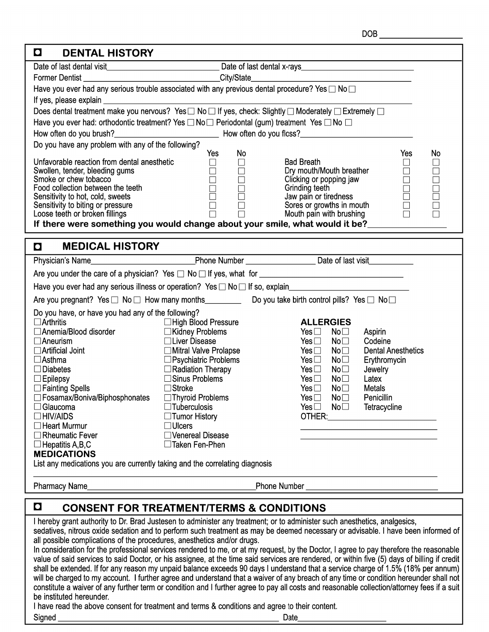#### $\blacksquare$ - - - $\overline{\phantom{a}}$

| М<br>UEN IAL MISTURI                                                                                                                         |                                                                                                        |                                         |                           |  |  |
|----------------------------------------------------------------------------------------------------------------------------------------------|--------------------------------------------------------------------------------------------------------|-----------------------------------------|---------------------------|--|--|
|                                                                                                                                              |                                                                                                        |                                         |                           |  |  |
| <b>Former Dentist</b><br><u>City/State</u>                                                                                                   |                                                                                                        |                                         |                           |  |  |
| Have you ever had any serious trouble associated with any previous dental procedure? Yes $\Box$ No $\Box$                                    |                                                                                                        |                                         |                           |  |  |
|                                                                                                                                              |                                                                                                        |                                         |                           |  |  |
| Does dental treatment make you nervous? Yes □ No □ If yes, check: Slightly □ Moderately □ Extremely □                                        |                                                                                                        |                                         |                           |  |  |
|                                                                                                                                              |                                                                                                        |                                         |                           |  |  |
|                                                                                                                                              | Have you ever had: orthodontic treatment? Yes □ No□ Periodontal (gum) treatment Yes □ No □             |                                         |                           |  |  |
| Do you have any problem with any of the following?                                                                                           |                                                                                                        |                                         |                           |  |  |
|                                                                                                                                              | No<br>Yes                                                                                              |                                         | Yes<br>No                 |  |  |
| Unfavorable reaction from dental anesthetic                                                                                                  | $\Box$<br>$\Box$                                                                                       | <b>Bad Breath</b>                       | $\Box$<br>$\Box$          |  |  |
| Swollen, tender, bleeding gums                                                                                                               | $\Box$<br>$\Box$                                                                                       | Dry mouth/Mouth breather                | $\Box$                    |  |  |
| Smoke or chew tobacco<br>Food collection between the teeth                                                                                   | $\Box$<br>$\Box$                                                                                       | Clicking or popping jaw                 | 10000                     |  |  |
| Sensitivity to hot, cold, sweets                                                                                                             | $\overline{\Box}$<br>$\begin{array}{ c } \hline \hline \hline \hline \hline \hline \hline \end{array}$ | Grinding teeth<br>Jaw pain or tiredness |                           |  |  |
| Sensitivity to biting or pressure                                                                                                            |                                                                                                        | Sores or growths in mouth               |                           |  |  |
| Loose teeth or broken fillings                                                                                                               | Ē<br>$\Box$                                                                                            | Mouth pain with brushing                |                           |  |  |
| If there were something you would change about your smile, what would it be?__________                                                       |                                                                                                        |                                         |                           |  |  |
|                                                                                                                                              |                                                                                                        |                                         |                           |  |  |
| <b>MEDICAL HISTORY</b><br>$\blacksquare$                                                                                                     |                                                                                                        |                                         |                           |  |  |
|                                                                                                                                              |                                                                                                        |                                         |                           |  |  |
|                                                                                                                                              |                                                                                                        |                                         |                           |  |  |
| Have you ever had any serious illness or operation? Yes □ No □ If so, explain_________________________________                               |                                                                                                        |                                         |                           |  |  |
| Are you pregnant? Yes □ No □ How many months____________ Do you take birth control pills? Yes □ No □                                         |                                                                                                        |                                         |                           |  |  |
| Do you have, or have you had any of the following?                                                                                           |                                                                                                        |                                         |                           |  |  |
| $\Box$ Arthritis                                                                                                                             | □High Blood Pressure                                                                                   | <b>ALLERGIES</b>                        |                           |  |  |
| □ Anemia/Blood disorder                                                                                                                      | ■ Kidney Problems                                                                                      | Yes $\square$<br>$\mathsf{No}\,\Box$    | Aspirin                   |  |  |
| $\Box$ Aneurism                                                                                                                              | □Liver Disease                                                                                         | No <sub>1</sub><br>Yes $\Box$           | Codeine                   |  |  |
| $\Box$ Artificial Joint                                                                                                                      | <b>□ Mitral Valve Prolapse</b>                                                                         | No <sub>1</sub><br>Yes $\Box$           | <b>Dental Anesthetics</b> |  |  |
| $\Box$ Asthma                                                                                                                                | □ Psychiatric Problems                                                                                 | $No\square$<br>Yes $\Box$               | Erythromycin              |  |  |
| $\Box$ Diabetes                                                                                                                              | $\Box$ Radiation Therapy                                                                               | Yes $\square$<br>No <sub>1</sub>        | Jewelry                   |  |  |
| $\Box$ Epilepsy                                                                                                                              | $\Box$ Sinus Problems                                                                                  | No <sub>1</sub><br>Yes $\Box$<br>Latex  |                           |  |  |
| $\Box$ Fainting Spells                                                                                                                       | $\Box$ Stroke                                                                                          | Yes $\square$<br>No <sub>1</sub>        | Metals                    |  |  |
| □ Fosamax/Boniva/Biphosphonates                                                                                                              | $\Box$ Thyroid Problems                                                                                | Yes $\square$<br>No <sub>1</sub>        | Penicillin                |  |  |
| $\Box$ Glaucoma<br>∃HIV/AIDS                                                                                                                 | $\Box$ Tuberculosis                                                                                    | Yes $\square$<br>No <sub>1</sub>        | Tetracycline              |  |  |
| ∃Heart Murmur                                                                                                                                | $\Box$ Tumor History<br><b>Ulcers</b>                                                                  |                                         |                           |  |  |
| $\Box$ Rheumatic Fever                                                                                                                       | Venereal Disease                                                                                       |                                         |                           |  |  |
| $\Box$ Hepatitis A, B, C                                                                                                                     | □Taken Fen-Phen                                                                                        |                                         |                           |  |  |
| <b>MEDICATIONS</b>                                                                                                                           |                                                                                                        |                                         |                           |  |  |
| List any medications you are currently taking and the correlating diagnosis                                                                  |                                                                                                        |                                         |                           |  |  |
|                                                                                                                                              |                                                                                                        |                                         |                           |  |  |
| Pharmacy Name_                                                                                                                               |                                                                                                        | Phone Number <u>Communication</u>       |                           |  |  |
|                                                                                                                                              |                                                                                                        |                                         |                           |  |  |
| $\bullet$                                                                                                                                    | <b>CONSENT FOR TREATMENT/TERMS &amp; CONDITIONS</b>                                                    |                                         |                           |  |  |
| I hereby grant authority to Dr. Brad Justesen to administer any treatment; or to administer such anesthetics, analgesics,                    |                                                                                                        |                                         |                           |  |  |
| sedatives, nitrous oxide sedation and to perform such treatment as may be deemed necessary or advisable. I have been informed of             |                                                                                                        |                                         |                           |  |  |
| all possible complications of the procedures, anesthetics and/or drugs.                                                                      |                                                                                                        |                                         |                           |  |  |
| In consideration for the professional services rendered to me, or at my request, by the Doctor, I agree to pay therefore the reasonable      |                                                                                                        |                                         |                           |  |  |
| value of said services to said Doctor, or his assignee, at the time said services are rendered, or within five (5) days of billing if credit |                                                                                                        |                                         |                           |  |  |
| shall be extended. If for any reason my unpaid balance exceeds 90 days I understand that a service charge of 1.5% (18% per annum)            |                                                                                                        |                                         |                           |  |  |

shall be extended. If for any reason my unpaid balance exceeds 90 days I understand that a service charge of 1.5% (18% per annum) will be charged to my account. I further agree and understand that a waiver of any breach of be instituted hereunder.

Date

I have read the above consent for treatment and terms & conditions and agree to their content.

<u> 1989 - Johann Barn, mars eta bainar eta baina eta baina eta baina eta baina eta baina eta baina eta baina e</u>

Signed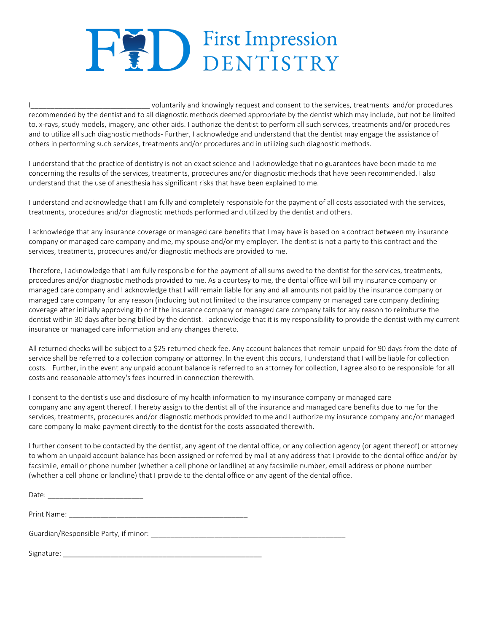# **HED** First Impression

I\_\_\_\_\_\_\_\_\_\_\_\_\_\_\_\_\_\_\_\_\_\_\_\_\_\_\_\_\_\_ voluntarily and knowingly request and consent to the services, treatments and/or procedures recommended by the dentist and to all diagnostic methods deemed appropriate by the dentist which may include, but not be limited to, x-rays, study models, imagery, and other aids. I authorize the dentist to perform all such services, treatments and/or procedures and to utilize all such diagnostic methods- Further, I acknowledge and understand that the dentist may engage the assistance of others in performing such services, treatments and/or procedures and in utilizing such diagnostic methods.

I understand that the practice of dentistry is not an exact science and I acknowledge that no guarantees have been made to me concerning the results of the services, treatments, procedures and/or diagnostic methods that have been recommended. I also understand that the use of anesthesia has significant risks that have been explained to me.

I understand and acknowledge that I am fully and completely responsible for the payment of all costs associated with the services, treatments, procedures and/or diagnostic methods performed and utilized by the dentist and others.

I acknowledge that any insurance coverage or managed care benefits that I may have is based on a contract between my insurance company or managed care company and me, my spouse and/or my employer. The dentist is not a party to this contract and the services, treatments, procedures and/or diagnostic methods are provided to me.

Therefore, I acknowledge that I am fully responsible for the payment of all sums owed to the dentist for the services, treatments, procedures and/or diagnostic methods provided to me. As a courtesy to me, the dental office will bill my insurance company or managed care company and I acknowledge that I will remain liable for any and all amounts not paid by the insurance company or managed care company for any reason (including but not limited to the insurance company or managed care company declining coverage after initially approving it) or if the insurance company or managed care company fails for any reason to reimburse the dentist within 30 days after being billed by the dentist. I acknowledge that it is my responsibility to provide the dentist with my current insurance or managed care information and any changes thereto.

All returned checks will be subject to a \$25 returned check fee. Any account balances that remain unpaid for 90 days from the date of service shall be referred to a collection company or attorney. ln the event this occurs, I understand that I will be liable for collection costs. Further, in the event any unpaid account balance is referred to an attorney for collection, I agree also to be responsible for all costs and reasonable attorney's fees incurred in connection therewith.

I consent to the dentist's use and disclosure of my health information to my insurance company or managed care company and any agent thereof. I hereby assign to the dentist all of the insurance and managed care benefits due to me for the services, treatments, procedures and/or diagnostic methods provided to me and I authorize my insurance company and/or managed care company lo make payment directly to the dentist for the costs associated therewith.

I further consent to be contacted by the dentist, any agent of the dental office, or any collection agency (or agent thereof) or attorney to whom an unpaid account balance has been assigned or referred by mail at any address that I provide to the dental office and/or by facsimile, email or phone number (whether a cell phone or landline) at any facsimile number, email address or phone number (whether a cell phone or landline) that I provide to the dental office or any agent of the dental office.

| Date:       |  |  |
|-------------|--|--|
|             |  |  |
| Print Name: |  |  |

Guardian/Responsible Party, if minor: \_\_\_\_\_\_\_\_\_\_\_\_\_\_\_\_\_\_\_\_\_\_\_\_\_\_\_\_\_\_\_\_\_\_\_\_\_\_\_\_\_\_\_\_\_\_\_\_\_

Signature: \_\_\_\_\_\_\_\_\_\_\_\_\_\_\_\_\_\_\_\_\_\_\_\_\_\_\_\_\_\_\_\_\_\_\_\_\_\_\_\_\_\_\_\_\_\_\_\_\_\_